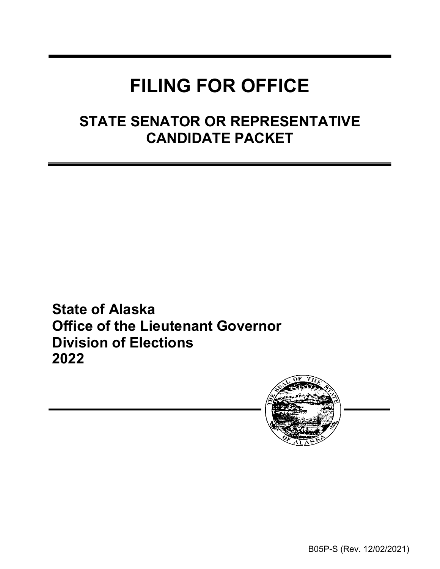# **FILING FOR OFFICE**

### **STATE SENATOR OR REPRESENTATIVE CANDIDATE PACKET**

**State of Alaska Office of the Lieutenant Governor Division of Elections 2022**



B05P-S (Rev. 12/02/2021)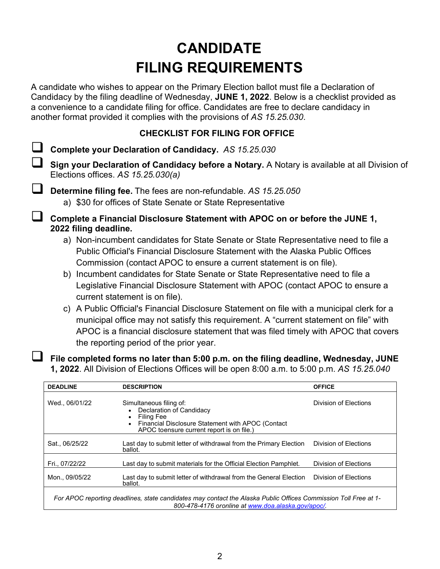## **CANDIDATE FILING REQUIREMENTS**

A candidate who wishes to appear on the Primary Election ballot must file a Declaration of Candidacy by the filing deadline of Wednesday, **JUNE 1, 2022**. Below is a checklist provided as a convenience to a candidate filing for office. Candidates are free to declare candidacy in another format provided it complies with the provisions of *AS 15.25.030*.

#### **CHECKLIST FOR FILING FOR OFFICE**

**Complete your Declaration of Candidacy.** *AS 15.25.030*

 **Sign your Declaration of Candidacy before a Notary.** A Notary is available at all Division of Elections offices. *AS 15.25.030(a)*

 **Determine filing fee.** The fees are non-refundable. *AS 15.25.050* a) \$30 for offices of State Senate or State Representative

 **Complete a Financial Disclosure Statement with APOC on or before the JUNE 1, 2022 filing deadline.**

- a) Non-incumbent candidates for State Senate or State Representative need to file a Public Official's Financial Disclosure Statement with the Alaska Public Offices Commission (contact APOC to ensure a current statement is on file).
- b) Incumbent candidates for State Senate or State Representative need to file a Legislative Financial Disclosure Statement with APOC (contact APOC to ensure a current statement is on file).
- c) A Public Official's Financial Disclosure Statement on file with a municipal clerk for a municipal office may not satisfy this requirement. A "current statement on file" with APOC is a financial disclosure statement that was filed timely with APOC that covers the reporting period of the prior year.

 **File completed forms no later than 5:00 p.m. on the filing deadline, Wednesday, JUNE 1, 2022**. All Division of Elections Offices will be open 8:00 a.m. to 5:00 p.m. *AS 15.25.040*

| <b>DEADLINE</b>                                                                                                                                                       | <b>DESCRIPTION</b>                                                                                                                                                               | <b>OFFICE</b>         |  |  |
|-----------------------------------------------------------------------------------------------------------------------------------------------------------------------|----------------------------------------------------------------------------------------------------------------------------------------------------------------------------------|-----------------------|--|--|
| Wed., 06/01/22                                                                                                                                                        | Simultaneous filing of:<br>Declaration of Candidacy<br>Filing Fee<br>Financial Disclosure Statement with APOC (Contact<br>$\bullet$<br>APOC toensure current report is on file.) | Division of Elections |  |  |
| Sat., 06/25/22                                                                                                                                                        | Last day to submit letter of withdrawal from the Primary Election<br>ballot.                                                                                                     | Division of Elections |  |  |
| Fri., 07/22/22                                                                                                                                                        | Last day to submit materials for the Official Election Pamphlet.                                                                                                                 | Division of Elections |  |  |
| Mon., 09/05/22                                                                                                                                                        | Last day to submit letter of withdrawal from the General Election<br>ballot.                                                                                                     | Division of Elections |  |  |
| For APOC reporting deadlines, state candidates may contact the Alaska Public Offices Commission Toll Free at 1-<br>800-478-4176 oronline at www.doa.alaska.gov/apoc/. |                                                                                                                                                                                  |                       |  |  |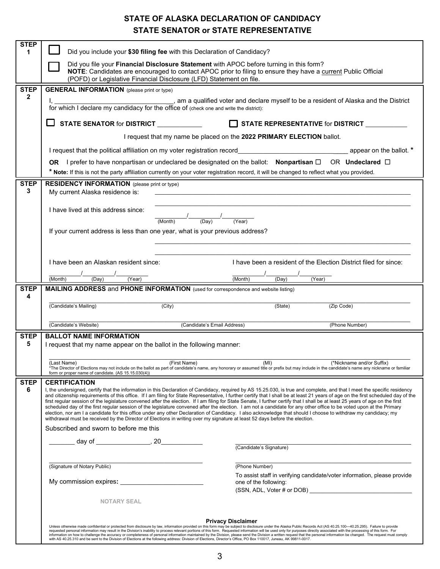### **STATE OF ALASKA DECLARATION OF CANDIDACY STATE SENATOR or STATE REPRESENTATIVE**

| <b>STEP</b><br>1 | Did you include your \$30 filing fee with this Declaration of Candidacy?                                                                                                                                                                                                                                                                                                                                                                                                                                                                                                                                                                                                                                                                                                                                                                                                                                                                                                                                                  |                                                                                                                                                                                                                                                     |                                     |                                                                          |  |  |
|------------------|---------------------------------------------------------------------------------------------------------------------------------------------------------------------------------------------------------------------------------------------------------------------------------------------------------------------------------------------------------------------------------------------------------------------------------------------------------------------------------------------------------------------------------------------------------------------------------------------------------------------------------------------------------------------------------------------------------------------------------------------------------------------------------------------------------------------------------------------------------------------------------------------------------------------------------------------------------------------------------------------------------------------------|-----------------------------------------------------------------------------------------------------------------------------------------------------------------------------------------------------------------------------------------------------|-------------------------------------|--------------------------------------------------------------------------|--|--|
|                  | Did you file your Financial Disclosure Statement with APOC before turning in this form?<br>NOTE: Candidates are encouraged to contact APOC prior to filing to ensure they have a current Public Official                                                                                                                                                                                                                                                                                                                                                                                                                                                                                                                                                                                                                                                                                                                                                                                                                  |                                                                                                                                                                                                                                                     |                                     |                                                                          |  |  |
|                  | (POFD) or Legislative Financial Disclosure (LFD) Statement on file.                                                                                                                                                                                                                                                                                                                                                                                                                                                                                                                                                                                                                                                                                                                                                                                                                                                                                                                                                       |                                                                                                                                                                                                                                                     |                                     |                                                                          |  |  |
| <b>STEP</b>      | <b>GENERAL INFORMATION</b> (please print or type)                                                                                                                                                                                                                                                                                                                                                                                                                                                                                                                                                                                                                                                                                                                                                                                                                                                                                                                                                                         |                                                                                                                                                                                                                                                     |                                     |                                                                          |  |  |
| $\mathbf{2}$     | I, $\frac{1}{100}$ , am a qualified voter and declare myself to be a resident of Alaska and the District for which I declare my candidacy for the office of (check one and write the district):                                                                                                                                                                                                                                                                                                                                                                                                                                                                                                                                                                                                                                                                                                                                                                                                                           |                                                                                                                                                                                                                                                     |                                     |                                                                          |  |  |
|                  | STATE REPRESENTATIVE for DISTRICT _________<br>$\Box$ STATE SENATOR for DISTRICT                                                                                                                                                                                                                                                                                                                                                                                                                                                                                                                                                                                                                                                                                                                                                                                                                                                                                                                                          |                                                                                                                                                                                                                                                     |                                     |                                                                          |  |  |
|                  | I request that my name be placed on the 2022 PRIMARY ELECTION ballot.                                                                                                                                                                                                                                                                                                                                                                                                                                                                                                                                                                                                                                                                                                                                                                                                                                                                                                                                                     |                                                                                                                                                                                                                                                     |                                     |                                                                          |  |  |
|                  | I request that the political affiliation on my voter registration record                                                                                                                                                                                                                                                                                                                                                                                                                                                                                                                                                                                                                                                                                                                                                                                                                                                                                                                                                  |                                                                                                                                                                                                                                                     |                                     |                                                                          |  |  |
|                  | OR I prefer to have nonpartisan or undeclared be designated on the ballot: Nonpartisan $\square$ OR Undeclared $\square$                                                                                                                                                                                                                                                                                                                                                                                                                                                                                                                                                                                                                                                                                                                                                                                                                                                                                                  |                                                                                                                                                                                                                                                     |                                     |                                                                          |  |  |
|                  | * Note: If this is not the party affiliation currently on your voter registration record, it will be changed to reflect what you provided.                                                                                                                                                                                                                                                                                                                                                                                                                                                                                                                                                                                                                                                                                                                                                                                                                                                                                |                                                                                                                                                                                                                                                     |                                     |                                                                          |  |  |
| <b>STEP</b><br>3 | <b>RESIDENCY INFORMATION</b> (please print or type)<br>My current Alaska residence is:                                                                                                                                                                                                                                                                                                                                                                                                                                                                                                                                                                                                                                                                                                                                                                                                                                                                                                                                    |                                                                                                                                                                                                                                                     |                                     |                                                                          |  |  |
|                  | I have lived at this address since:                                                                                                                                                                                                                                                                                                                                                                                                                                                                                                                                                                                                                                                                                                                                                                                                                                                                                                                                                                                       |                                                                                                                                                                                                                                                     |                                     |                                                                          |  |  |
|                  |                                                                                                                                                                                                                                                                                                                                                                                                                                                                                                                                                                                                                                                                                                                                                                                                                                                                                                                                                                                                                           | $\frac{1}{(\text{Month})}$ $\frac{1}{(\text{Day})}$ $\frac{1}{(\text{Year})}$                                                                                                                                                                       |                                     |                                                                          |  |  |
|                  | If your current address is less than one year, what is your previous address?                                                                                                                                                                                                                                                                                                                                                                                                                                                                                                                                                                                                                                                                                                                                                                                                                                                                                                                                             |                                                                                                                                                                                                                                                     |                                     |                                                                          |  |  |
|                  |                                                                                                                                                                                                                                                                                                                                                                                                                                                                                                                                                                                                                                                                                                                                                                                                                                                                                                                                                                                                                           |                                                                                                                                                                                                                                                     |                                     |                                                                          |  |  |
|                  |                                                                                                                                                                                                                                                                                                                                                                                                                                                                                                                                                                                                                                                                                                                                                                                                                                                                                                                                                                                                                           |                                                                                                                                                                                                                                                     |                                     |                                                                          |  |  |
|                  | I have been an Alaskan resident since:                                                                                                                                                                                                                                                                                                                                                                                                                                                                                                                                                                                                                                                                                                                                                                                                                                                                                                                                                                                    |                                                                                                                                                                                                                                                     |                                     | I have been a resident of the Election District filed for since:         |  |  |
|                  | $\frac{1}{\sqrt{2\cdot\frac{1}{\sqrt{2\cdot\frac{1}{\sqrt{2\cdot\frac{1}{\sqrt{2\cdot\frac{1}{\sqrt{2\cdot\frac{1}{\sqrt{2\cdot\frac{1}{\sqrt{2\cdot\frac{1}{\sqrt{2\cdot\frac{1}{\sqrt{2\cdot\frac{1}{\sqrt{2\cdot\frac{1}{\sqrt{2\cdot\frac{1}{\sqrt{2\cdot\frac{1}{\sqrt{2\cdot\frac{1}{\sqrt{2\cdot\frac{1}{\sqrt{2\cdot\frac{1}{\sqrt{2\cdot\frac{1}{\sqrt{2\cdot\frac{1}{\sqrt{2\cdot\frac{1}{\sqrt{2\cdot\frac{1}{\sqrt{2\cdot$<br>(Month)                                                                                                                                                                                                                                                                                                                                                                                                                                                                                                                                                                         |                                                                                                                                                                                                                                                     | $\frac{1}{\text{(Month)}}$<br>(Day) | (Year)                                                                   |  |  |
| <b>STEP</b>      | <b>MAILING ADDRESS and PHONE INFORMATION</b> (used for correspondence and website listing)                                                                                                                                                                                                                                                                                                                                                                                                                                                                                                                                                                                                                                                                                                                                                                                                                                                                                                                                |                                                                                                                                                                                                                                                     |                                     |                                                                          |  |  |
| 4                |                                                                                                                                                                                                                                                                                                                                                                                                                                                                                                                                                                                                                                                                                                                                                                                                                                                                                                                                                                                                                           |                                                                                                                                                                                                                                                     |                                     |                                                                          |  |  |
|                  | (Candidate's Mailing)                                                                                                                                                                                                                                                                                                                                                                                                                                                                                                                                                                                                                                                                                                                                                                                                                                                                                                                                                                                                     | (City)                                                                                                                                                                                                                                              | (State)                             | (Zip Code)                                                               |  |  |
|                  | (Candidate's Website)                                                                                                                                                                                                                                                                                                                                                                                                                                                                                                                                                                                                                                                                                                                                                                                                                                                                                                                                                                                                     | (Candidate's Email Address)                                                                                                                                                                                                                         |                                     | (Phone Number)                                                           |  |  |
| <b>STEP</b>      | <b>BALLOT NAME INFORMATION</b>                                                                                                                                                                                                                                                                                                                                                                                                                                                                                                                                                                                                                                                                                                                                                                                                                                                                                                                                                                                            |                                                                                                                                                                                                                                                     |                                     |                                                                          |  |  |
| 5                |                                                                                                                                                                                                                                                                                                                                                                                                                                                                                                                                                                                                                                                                                                                                                                                                                                                                                                                                                                                                                           | I request that my name appear on the ballot in the following manner:                                                                                                                                                                                |                                     |                                                                          |  |  |
|                  | (Last Name)<br>form or proper name of candidate. (AS 15.15.030(4))                                                                                                                                                                                                                                                                                                                                                                                                                                                                                                                                                                                                                                                                                                                                                                                                                                                                                                                                                        | (First Name)<br>(MI)<br>(*Nickname and/or Suffix)<br>*The Director of Elections may not include on the ballot as part of candidate's name, any honorary or assumed title or prefix but may include in the candidate's name any nickname or familiar |                                     |                                                                          |  |  |
| <b>STEP</b>      | <b>CERTIFICATION</b>                                                                                                                                                                                                                                                                                                                                                                                                                                                                                                                                                                                                                                                                                                                                                                                                                                                                                                                                                                                                      |                                                                                                                                                                                                                                                     |                                     |                                                                          |  |  |
| 6                | I, the undersigned, certify that the information in this Declaration of Candidacy, required by AS 15.25.030, is true and complete, and that I meet the specific residency<br>and citizenship requirements of this office. If I am filing for State Representative, I further certify that I shall be at least 21 years of age on the first scheduled day of the<br>first regular session of the legislature convened after the election. If I am filing for State Senate, I further certify that I shall be at least 25 years of age on the first<br>scheduled day of the first reqular session of the legislature convened after the election. I am not a candidate for any other office to be voted upon at the Primary<br>election, nor am I a candidate for this office under any other Declaration of Candidacy. I also acknowledge that should I choose to withdraw my candidacy; my<br>withdrawal must be received by the Director of Elections in writing over my signature at least 52 days before the election. |                                                                                                                                                                                                                                                     |                                     |                                                                          |  |  |
|                  | Subscribed and sworn to before me this                                                                                                                                                                                                                                                                                                                                                                                                                                                                                                                                                                                                                                                                                                                                                                                                                                                                                                                                                                                    |                                                                                                                                                                                                                                                     |                                     |                                                                          |  |  |
|                  | ______ day of _________________, 20_____________                                                                                                                                                                                                                                                                                                                                                                                                                                                                                                                                                                                                                                                                                                                                                                                                                                                                                                                                                                          |                                                                                                                                                                                                                                                     | (Candidate's Signature)             |                                                                          |  |  |
|                  |                                                                                                                                                                                                                                                                                                                                                                                                                                                                                                                                                                                                                                                                                                                                                                                                                                                                                                                                                                                                                           |                                                                                                                                                                                                                                                     |                                     |                                                                          |  |  |
|                  | (Signature of Notary Public)                                                                                                                                                                                                                                                                                                                                                                                                                                                                                                                                                                                                                                                                                                                                                                                                                                                                                                                                                                                              |                                                                                                                                                                                                                                                     | (Phone Number)                      |                                                                          |  |  |
|                  | one of the following:                                                                                                                                                                                                                                                                                                                                                                                                                                                                                                                                                                                                                                                                                                                                                                                                                                                                                                                                                                                                     |                                                                                                                                                                                                                                                     |                                     | To assist staff in verifying candidate/voter information, please provide |  |  |
|                  | <b>NOTARY SEAL</b>                                                                                                                                                                                                                                                                                                                                                                                                                                                                                                                                                                                                                                                                                                                                                                                                                                                                                                                                                                                                        |                                                                                                                                                                                                                                                     |                                     |                                                                          |  |  |
|                  |                                                                                                                                                                                                                                                                                                                                                                                                                                                                                                                                                                                                                                                                                                                                                                                                                                                                                                                                                                                                                           |                                                                                                                                                                                                                                                     |                                     |                                                                          |  |  |
|                  | <b>Privacy Disclaimer</b><br>Unless otherwise made confidential or protected from disclosure by law, information provided on this form may be subject to disclosure under the Alaska Public Records Act (AS 40.25.100-40.25.295). Failure to provide                                                                                                                                                                                                                                                                                                                                                                                                                                                                                                                                                                                                                                                                                                                                                                      |                                                                                                                                                                                                                                                     |                                     |                                                                          |  |  |
|                  | requested personal information may result in the Division's inability to process relevant portions of this form. Requested information will be used only for purposes directly associated with the processing of this form. Fo<br>information on how to challenge the accuracy or completeness of personal information maintained by the Division, please send the Division a written request that the personal information be changed. The request must comply<br>with AS 40.25.310 and be sent to the Division of Elections at the following address: Division of Elections, Director's Office, PO Box 110017, Juneau, AK 99811-0017.                                                                                                                                                                                                                                                                                                                                                                                   |                                                                                                                                                                                                                                                     |                                     |                                                                          |  |  |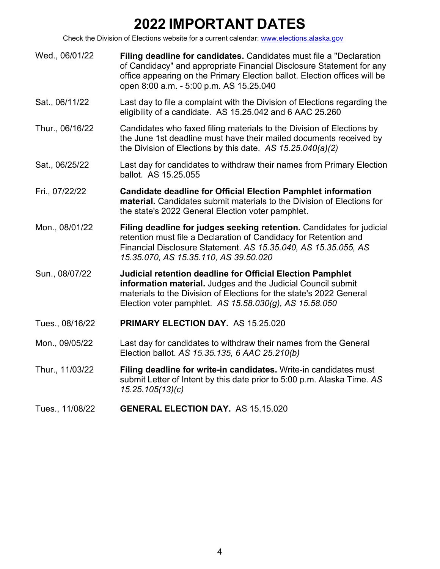## **2022 IMPORTANT DATES**

Check the Division of Elections website for a current calendar: [www.elections.alaska.gov](http://www.elections.alaska.gov/)

- Wed., 06/01/22 **Filing deadline for candidates.** Candidates must file a "Declaration of Candidacy" and appropriate Financial Disclosure Statement for any office appearing on the Primary Election ballot. Election offices will be open 8:00 a.m. - 5:00 p.m. AS 15.25.040
- Sat., 06/11/22 Last day to file a complaint with the Division of Elections regarding the eligibility of a candidate. AS 15.25.042 and 6 AAC 25.260
- Thur., 06/16/22 Candidates who faxed filing materials to the Division of Elections by the June 1st deadline must have their mailed documents received by the Division of Elections by this date. *AS 15.25.040(a)(2)*
- Sat., 06/25/22 Last day for candidates to withdraw their names from Primary Election ballot. AS 15.25.055
- Fri., 07/22/22 **Candidate deadline for Official Election Pamphlet information material.** Candidates submit materials to the Division of Elections for the state's 2022 General Election voter pamphlet.
- Mon., 08/01/22 **Filing deadline for judges seeking retention.** Candidates for judicial retention must file a Declaration of Candidacy for Retention and Financial Disclosure Statement. *AS 15.35.040, AS 15.35.055, AS 15.35.070, AS 15.35.110, AS 39.50.020*
- Sun., 08/07/22 **Judicial retention deadline for Official Election Pamphlet information material.** Judges and the Judicial Council submit materials to the Division of Elections for the state's 2022 General Election voter pamphlet. *AS 15.58.030(g), AS 15.58.050*
- Tues., 08/16/22 **PRIMARY ELECTION DAY.** AS 15.25.020
- Mon., 09/05/22 Last day for candidates to withdraw their names from the General Election ballot. *AS 15.35.135, 6 AAC 25.210(b)*
- Thur., 11/03/22 **Filing deadline for write-in candidates.** Write-in candidates must submit Letter of Intent by this date prior to 5:00 p.m. Alaska Time. *AS 15.25.105(13)(c)*
- Tues., 11/08/22 **GENERAL ELECTION DAY.** AS 15.15.020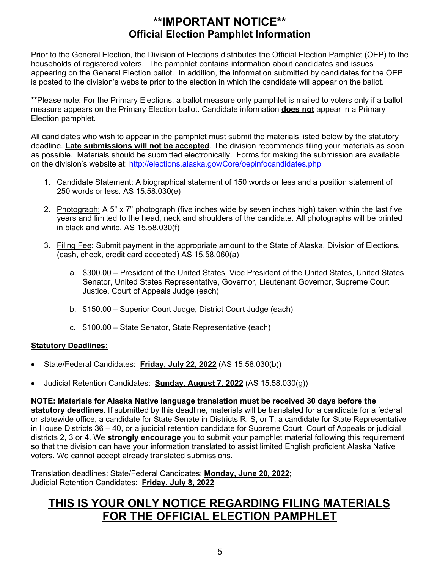### **\*\*IMPORTANT NOTICE\*\* Official Election Pamphlet Information**

Prior to the General Election, the Division of Elections distributes the Official Election Pamphlet (OEP) to the households of registered voters. The pamphlet contains information about candidates and issues appearing on the General Election ballot. In addition, the information submitted by candidates for the OEP is posted to the division's website prior to the election in which the candidate will appear on the ballot.

\*\*Please note: For the Primary Elections, a ballot measure only pamphlet is mailed to voters only if a ballot measure appears on the Primary Election ballot. Candidate information **does not** appear in a Primary Election pamphlet.

All candidates who wish to appear in the pamphlet must submit the materials listed below by the statutory deadline. **Late submissions will not be accepted**. The division recommends filing your materials as soon as possible. Materials should be submitted electronically. Forms for making the submission are available on the division's website at: <http://elections.alaska.gov/Core/oepinfocandidates.php>

- 1. Candidate Statement: A biographical statement of 150 words or less and a position statement of 250 words or less. AS 15.58.030(e)
- 2. Photograph: A 5" x 7" photograph (five inches wide by seven inches high) taken within the last five years and limited to the head, neck and shoulders of the candidate. All photographs will be printed in black and white. AS 15.58.030(f)
- 3. Filing Fee: Submit payment in the appropriate amount to the State of Alaska, Division of Elections. (cash, check, credit card accepted) AS 15.58.060(a)
	- a. \$300.00 President of the United States, Vice President of the United States, United States Senator, United States Representative, Governor, Lieutenant Governor, Supreme Court Justice, Court of Appeals Judge (each)
	- b. \$150.00 Superior Court Judge, District Court Judge (each)
	- c. \$100.00 State Senator, State Representative (each)

#### **Statutory Deadlines:**

- State/Federal Candidates: **Friday, July 22, 2022** (AS 15.58.030(b))
- Judicial Retention Candidates: **Sunday, August 7, 2022** (AS 15.58.030(g))

**NOTE: Materials for Alaska Native language translation must be received 30 days before the statutory deadlines.** If submitted by this deadline, materials will be translated for a candidate for a federal or statewide office, a candidate for State Senate in Districts R, S, or T, a candidate for State Representative in House Districts 36 – 40, or a judicial retention candidate for Supreme Court, Court of Appeals or judicial districts 2, 3 or 4. We **strongly encourage** you to submit your pamphlet material following this requirement so that the division can have your information translated to assist limited English proficient Alaska Native voters. We cannot accept already translated submissions.

Translation deadlines: State/Federal Candidates: **Monday, June 20, 2022;** Judicial Retention Candidates: **Friday, July 8, 2022**

### **THIS IS YOUR ONLY NOTICE REGARDING FILING MATERIALS FOR THE OFFICIAL ELECTION PAMPHLET**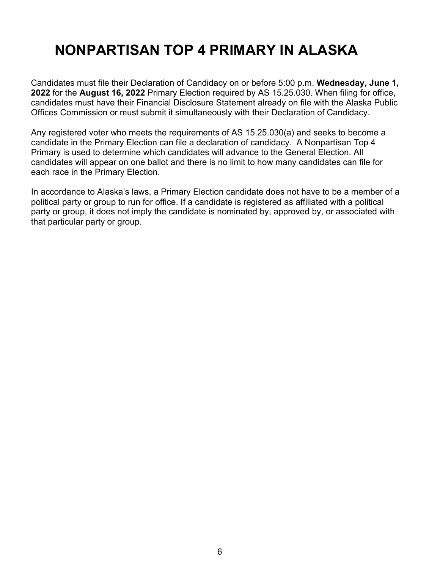## **NONPARTISAN TOP 4 PRIMARY IN ALASKA**

Candidates must file their Declaration of Candidacy on or before 5:00 p.m. **Wednesday, June 1, 2022** for the **August 16, 2022** Primary Election required by AS 15.25.030. When filing for office, candidates must have their Financial Disclosure Statement already on file with the Alaska Public Offices Commission or must submit it simultaneously with their Declaration of Candidacy.

Any registered voter who meets the requirements of AS 15.25.030(a) and seeks to become a candidate in the Primary Election can file a declaration of candidacy. A Nonpartisan Top 4 Primary is used to determine which candidates will advance to the General Election. All candidates will appear on one ballot and there is no limit to how many candidates can file for each race in the Primary Election.

In accordance to Alaska's laws, a Primary Election candidate does not have to be a member of a political party or group to run for office. If a candidate is registered as affiliated with a political party or group, it does not imply the candidate is nominated by, approved by, or associated with that particular party or group.